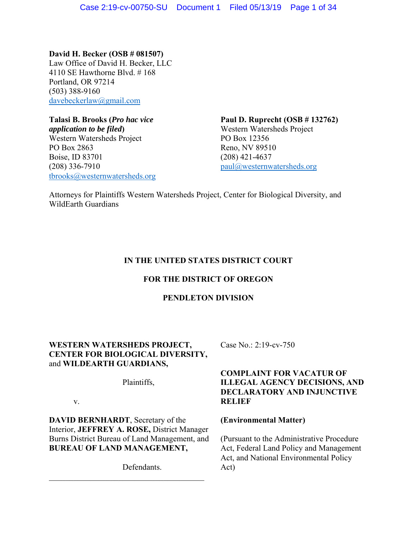**David H. Becker (OSB # 081507)**  Law Office of David H. Becker, LLC 4110 SE Hawthorne Blvd. # 168 Portland, OR 97214 (503) 388-9160 davebeckerlaw@gmail.com

*application to be filed* and *application to be filed* and *Western Watersheds Project* Western Watersheds Project PO Box 12356 PO Box 2863 Reno, NV 89510 Boise, ID 83701 (208) 421-4637 (208) 336-7910 paul@westernwatersheds.org tbrooks@westernwatersheds.org

**Talasi B. Brooks (***Pro hac vice* **Paul D. Ruprecht (OSB # 132762)** 

Attorneys for Plaintiffs Western Watersheds Project, Center for Biological Diversity, and WildEarth Guardians

# **IN THE UNITED STATES DISTRICT COURT**

# **FOR THE DISTRICT OF OREGON**

# **PENDLETON DIVISION**

# **WESTERN WATERSHEDS PROJECT, Case No.: 2:19-cv-750 CENTER FOR BIOLOGICAL DIVERSITY,**  and **WILDEARTH GUARDIANS,**

**DAVID BERNHARDT**, Secretary of the **(Environmental Matter)**  Interior, **JEFFREY A. ROSE,** District Manager Burns District Bureau of Land Management, and (Pursuant to the Administrative Procedure **BUREAU OF LAND MANAGEMENT,** Act, Federal Land Policy and Management

Defendants. Act)

# **COMPLAINT FOR VACATUR OF**  Plaintiffs, **ILLEGAL AGENCY DECISIONS, AND DECLARATORY AND INJUNCTIVE**  v. **RELIEF**

Act, and National Environmental Policy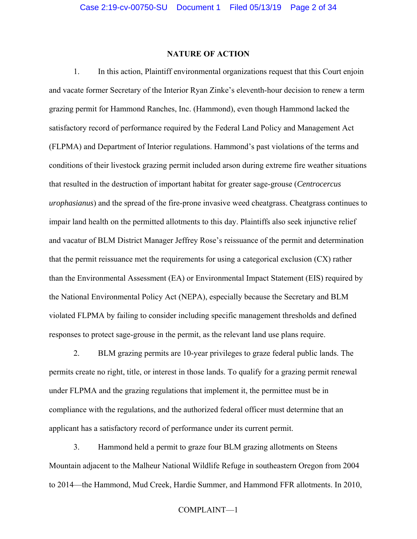# **NATURE OF ACTION**

1. In this action, Plaintiff environmental organizations request that this Court enjoin and vacate former Secretary of the Interior Ryan Zinke's eleventh-hour decision to renew a term grazing permit for Hammond Ranches, Inc. (Hammond), even though Hammond lacked the satisfactory record of performance required by the Federal Land Policy and Management Act (FLPMA) and Department of Interior regulations. Hammond's past violations of the terms and conditions of their livestock grazing permit included arson during extreme fire weather situations that resulted in the destruction of important habitat for greater sage-grouse (*Centrocercus urophasianus*) and the spread of the fire-prone invasive weed cheatgrass. Cheatgrass continues to impair land health on the permitted allotments to this day. Plaintiffs also seek injunctive relief and vacatur of BLM District Manager Jeffrey Rose's reissuance of the permit and determination that the permit reissuance met the requirements for using a categorical exclusion (CX) rather than the Environmental Assessment (EA) or Environmental Impact Statement (EIS) required by the National Environmental Policy Act (NEPA), especially because the Secretary and BLM violated FLPMA by failing to consider including specific management thresholds and defined responses to protect sage-grouse in the permit, as the relevant land use plans require.

2. BLM grazing permits are 10-year privileges to graze federal public lands. The permits create no right, title, or interest in those lands. To qualify for a grazing permit renewal under FLPMA and the grazing regulations that implement it, the permittee must be in compliance with the regulations, and the authorized federal officer must determine that an applicant has a satisfactory record of performance under its current permit.

3. Hammond held a permit to graze four BLM grazing allotments on Steens Mountain adjacent to the Malheur National Wildlife Refuge in southeastern Oregon from 2004 to 2014—the Hammond, Mud Creek, Hardie Summer, and Hammond FFR allotments. In 2010,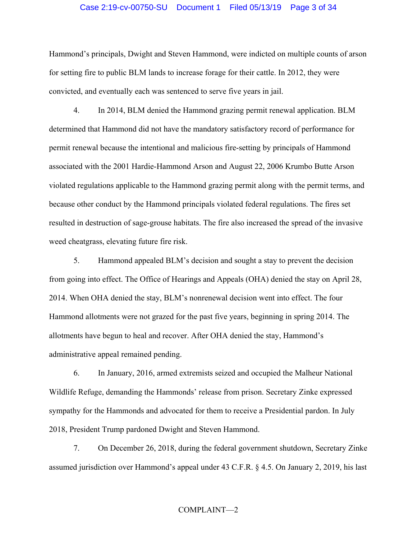#### Case 2:19-cv-00750-SU Document 1 Filed 05/13/19 Page 3 of 34

Hammond's principals, Dwight and Steven Hammond, were indicted on multiple counts of arson for setting fire to public BLM lands to increase forage for their cattle. In 2012, they were convicted, and eventually each was sentenced to serve five years in jail.

4. In 2014, BLM denied the Hammond grazing permit renewal application. BLM determined that Hammond did not have the mandatory satisfactory record of performance for permit renewal because the intentional and malicious fire-setting by principals of Hammond associated with the 2001 Hardie-Hammond Arson and August 22, 2006 Krumbo Butte Arson violated regulations applicable to the Hammond grazing permit along with the permit terms, and because other conduct by the Hammond principals violated federal regulations. The fires set resulted in destruction of sage-grouse habitats. The fire also increased the spread of the invasive weed cheatgrass, elevating future fire risk.

5. Hammond appealed BLM's decision and sought a stay to prevent the decision from going into effect. The Office of Hearings and Appeals (OHA) denied the stay on April 28, 2014. When OHA denied the stay, BLM's nonrenewal decision went into effect. The four Hammond allotments were not grazed for the past five years, beginning in spring 2014. The allotments have begun to heal and recover. After OHA denied the stay, Hammond's administrative appeal remained pending.

6. In January, 2016, armed extremists seized and occupied the Malheur National Wildlife Refuge, demanding the Hammonds' release from prison. Secretary Zinke expressed sympathy for the Hammonds and advocated for them to receive a Presidential pardon. In July 2018, President Trump pardoned Dwight and Steven Hammond.

7. On December 26, 2018, during the federal government shutdown, Secretary Zinke assumed jurisdiction over Hammond's appeal under 43 C.F.R. § 4.5. On January 2, 2019, his last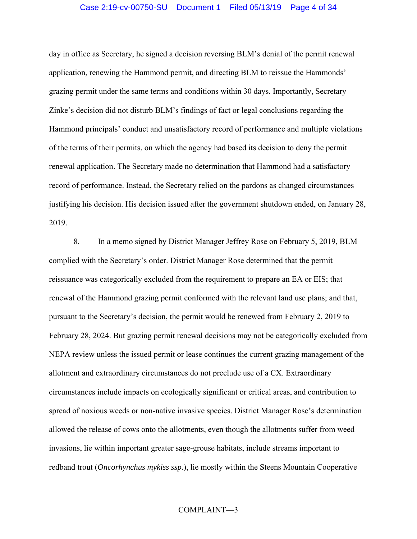## Case 2:19-cv-00750-SU Document 1 Filed 05/13/19 Page 4 of 34

day in office as Secretary, he signed a decision reversing BLM's denial of the permit renewal application, renewing the Hammond permit, and directing BLM to reissue the Hammonds' grazing permit under the same terms and conditions within 30 days. Importantly, Secretary Zinke's decision did not disturb BLM's findings of fact or legal conclusions regarding the Hammond principals' conduct and unsatisfactory record of performance and multiple violations of the terms of their permits, on which the agency had based its decision to deny the permit renewal application. The Secretary made no determination that Hammond had a satisfactory record of performance. Instead, the Secretary relied on the pardons as changed circumstances justifying his decision. His decision issued after the government shutdown ended, on January 28, 2019.

8. In a memo signed by District Manager Jeffrey Rose on February 5, 2019, BLM complied with the Secretary's order. District Manager Rose determined that the permit reissuance was categorically excluded from the requirement to prepare an EA or EIS; that renewal of the Hammond grazing permit conformed with the relevant land use plans; and that, pursuant to the Secretary's decision, the permit would be renewed from February 2, 2019 to February 28, 2024. But grazing permit renewal decisions may not be categorically excluded from NEPA review unless the issued permit or lease continues the current grazing management of the allotment and extraordinary circumstances do not preclude use of a CX. Extraordinary circumstances include impacts on ecologically significant or critical areas, and contribution to spread of noxious weeds or non-native invasive species. District Manager Rose's determination allowed the release of cows onto the allotments, even though the allotments suffer from weed invasions, lie within important greater sage-grouse habitats, include streams important to redband trout (*Oncorhynchus mykiss ssp.*), lie mostly within the Steens Mountain Cooperative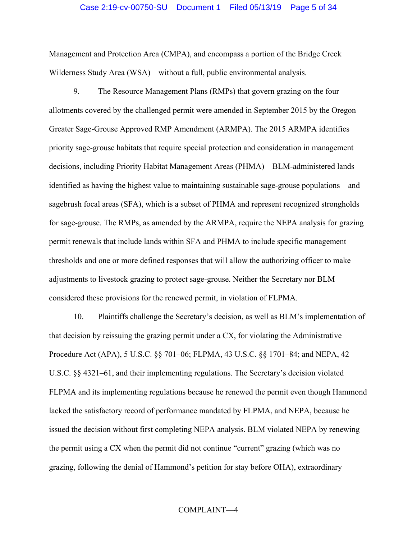#### Case 2:19-cv-00750-SU Document 1 Filed 05/13/19 Page 5 of 34

Management and Protection Area (CMPA), and encompass a portion of the Bridge Creek Wilderness Study Area (WSA)—without a full, public environmental analysis.

9. The Resource Management Plans (RMPs) that govern grazing on the four allotments covered by the challenged permit were amended in September 2015 by the Oregon Greater Sage-Grouse Approved RMP Amendment (ARMPA). The 2015 ARMPA identifies priority sage-grouse habitats that require special protection and consideration in management decisions, including Priority Habitat Management Areas (PHMA)—BLM-administered lands identified as having the highest value to maintaining sustainable sage-grouse populations—and sagebrush focal areas (SFA), which is a subset of PHMA and represent recognized strongholds for sage-grouse. The RMPs, as amended by the ARMPA, require the NEPA analysis for grazing permit renewals that include lands within SFA and PHMA to include specific management thresholds and one or more defined responses that will allow the authorizing officer to make adjustments to livestock grazing to protect sage-grouse. Neither the Secretary nor BLM considered these provisions for the renewed permit, in violation of FLPMA.

10. Plaintiffs challenge the Secretary's decision, as well as BLM's implementation of that decision by reissuing the grazing permit under a CX, for violating the Administrative Procedure Act (APA), 5 U.S.C. §§ 701–06; FLPMA, 43 U.S.C. §§ 1701–84; and NEPA, 42 U.S.C. §§ 4321–61, and their implementing regulations. The Secretary's decision violated FLPMA and its implementing regulations because he renewed the permit even though Hammond lacked the satisfactory record of performance mandated by FLPMA, and NEPA, because he issued the decision without first completing NEPA analysis. BLM violated NEPA by renewing the permit using a CX when the permit did not continue "current" grazing (which was no grazing, following the denial of Hammond's petition for stay before OHA), extraordinary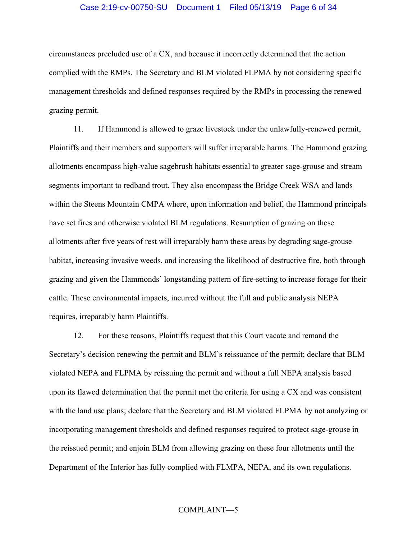#### Case 2:19-cv-00750-SU Document 1 Filed 05/13/19 Page 6 of 34

circumstances precluded use of a CX, and because it incorrectly determined that the action complied with the RMPs. The Secretary and BLM violated FLPMA by not considering specific management thresholds and defined responses required by the RMPs in processing the renewed grazing permit.

11. If Hammond is allowed to graze livestock under the unlawfully-renewed permit, Plaintiffs and their members and supporters will suffer irreparable harms. The Hammond grazing allotments encompass high-value sagebrush habitats essential to greater sage-grouse and stream segments important to redband trout. They also encompass the Bridge Creek WSA and lands within the Steens Mountain CMPA where, upon information and belief, the Hammond principals have set fires and otherwise violated BLM regulations. Resumption of grazing on these allotments after five years of rest will irreparably harm these areas by degrading sage-grouse habitat, increasing invasive weeds, and increasing the likelihood of destructive fire, both through grazing and given the Hammonds' longstanding pattern of fire-setting to increase forage for their cattle. These environmental impacts, incurred without the full and public analysis NEPA requires, irreparably harm Plaintiffs.

12. For these reasons, Plaintiffs request that this Court vacate and remand the Secretary's decision renewing the permit and BLM's reissuance of the permit; declare that BLM violated NEPA and FLPMA by reissuing the permit and without a full NEPA analysis based upon its flawed determination that the permit met the criteria for using a CX and was consistent with the land use plans; declare that the Secretary and BLM violated FLPMA by not analyzing or incorporating management thresholds and defined responses required to protect sage-grouse in the reissued permit; and enjoin BLM from allowing grazing on these four allotments until the Department of the Interior has fully complied with FLMPA, NEPA, and its own regulations.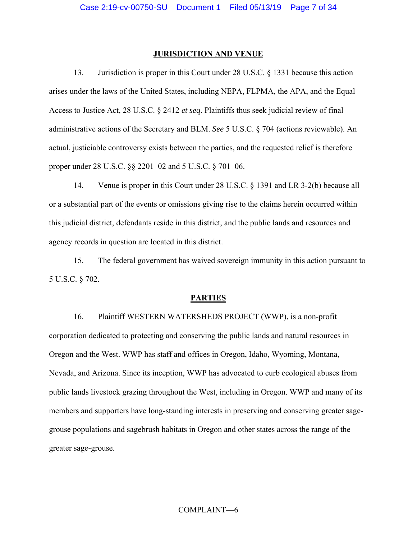#### **JURISDICTION AND VENUE**

13. Jurisdiction is proper in this Court under 28 U.S.C. § 1331 because this action arises under the laws of the United States, including NEPA, FLPMA, the APA, and the Equal Access to Justice Act, 28 U.S.C. § 2412 *et seq*. Plaintiffs thus seek judicial review of final administrative actions of the Secretary and BLM. *See* 5 U.S.C. § 704 (actions reviewable). An actual, justiciable controversy exists between the parties, and the requested relief is therefore proper under 28 U.S.C. §§ 2201–02 and 5 U.S.C. § 701–06.

14. Venue is proper in this Court under 28 U.S.C. § 1391 and LR 3-2(b) because all or a substantial part of the events or omissions giving rise to the claims herein occurred within this judicial district, defendants reside in this district, and the public lands and resources and agency records in question are located in this district.

15. The federal government has waived sovereign immunity in this action pursuant to 5 U.S.C. § 702.

#### **PARTIES**

16. Plaintiff WESTERN WATERSHEDS PROJECT (WWP), is a non-profit corporation dedicated to protecting and conserving the public lands and natural resources in Oregon and the West. WWP has staff and offices in Oregon, Idaho, Wyoming, Montana, Nevada, and Arizona. Since its inception, WWP has advocated to curb ecological abuses from public lands livestock grazing throughout the West, including in Oregon. WWP and many of its members and supporters have long-standing interests in preserving and conserving greater sagegrouse populations and sagebrush habitats in Oregon and other states across the range of the greater sage-grouse.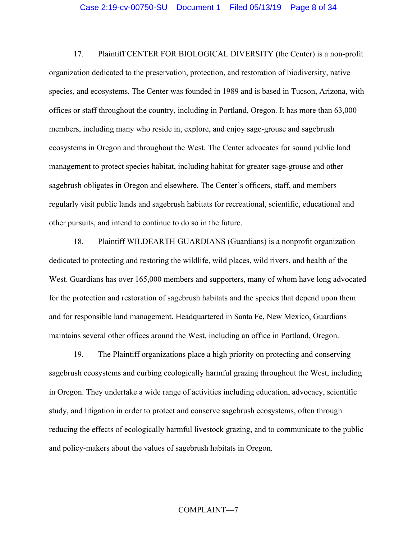17. Plaintiff CENTER FOR BIOLOGICAL DIVERSITY (the Center) is a non-profit organization dedicated to the preservation, protection, and restoration of biodiversity, native species, and ecosystems. The Center was founded in 1989 and is based in Tucson, Arizona, with offices or staff throughout the country, including in Portland, Oregon. It has more than 63,000 members, including many who reside in, explore, and enjoy sage-grouse and sagebrush ecosystems in Oregon and throughout the West. The Center advocates for sound public land management to protect species habitat, including habitat for greater sage-grouse and other sagebrush obligates in Oregon and elsewhere. The Center's officers, staff, and members regularly visit public lands and sagebrush habitats for recreational, scientific, educational and other pursuits, and intend to continue to do so in the future.

18. Plaintiff WILDEARTH GUARDIANS (Guardians) is a nonprofit organization dedicated to protecting and restoring the wildlife, wild places, wild rivers, and health of the West. Guardians has over 165,000 members and supporters, many of whom have long advocated for the protection and restoration of sagebrush habitats and the species that depend upon them and for responsible land management. Headquartered in Santa Fe, New Mexico, Guardians maintains several other offices around the West, including an office in Portland, Oregon.

19. The Plaintiff organizations place a high priority on protecting and conserving sagebrush ecosystems and curbing ecologically harmful grazing throughout the West, including in Oregon. They undertake a wide range of activities including education, advocacy, scientific study, and litigation in order to protect and conserve sagebrush ecosystems, often through reducing the effects of ecologically harmful livestock grazing, and to communicate to the public and policy-makers about the values of sagebrush habitats in Oregon.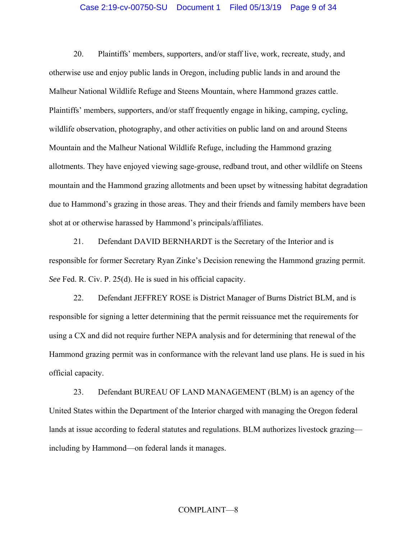### Case 2:19-cv-00750-SU Document 1 Filed 05/13/19 Page 9 of 34

20. Plaintiffs' members, supporters, and/or staff live, work, recreate, study, and otherwise use and enjoy public lands in Oregon, including public lands in and around the Malheur National Wildlife Refuge and Steens Mountain, where Hammond grazes cattle. Plaintiffs' members, supporters, and/or staff frequently engage in hiking, camping, cycling, wildlife observation, photography, and other activities on public land on and around Steens Mountain and the Malheur National Wildlife Refuge, including the Hammond grazing allotments. They have enjoyed viewing sage-grouse, redband trout, and other wildlife on Steens mountain and the Hammond grazing allotments and been upset by witnessing habitat degradation due to Hammond's grazing in those areas. They and their friends and family members have been shot at or otherwise harassed by Hammond's principals/affiliates.

21. Defendant DAVID BERNHARDT is the Secretary of the Interior and is responsible for former Secretary Ryan Zinke's Decision renewing the Hammond grazing permit. *See* Fed. R. Civ. P. 25(d). He is sued in his official capacity.

22. Defendant JEFFREY ROSE is District Manager of Burns District BLM, and is responsible for signing a letter determining that the permit reissuance met the requirements for using a CX and did not require further NEPA analysis and for determining that renewal of the Hammond grazing permit was in conformance with the relevant land use plans. He is sued in his official capacity.

23. Defendant BUREAU OF LAND MANAGEMENT (BLM) is an agency of the United States within the Department of the Interior charged with managing the Oregon federal lands at issue according to federal statutes and regulations. BLM authorizes livestock grazing including by Hammond—on federal lands it manages.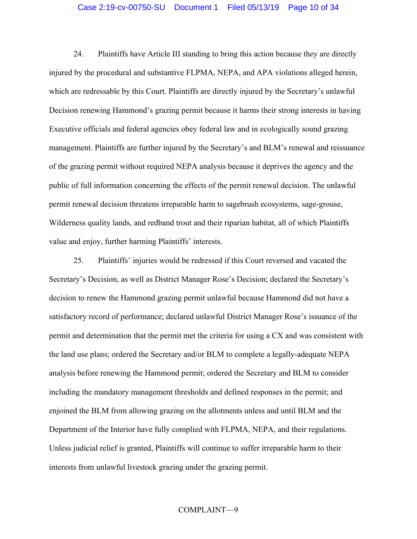### Case 2:19-cv-00750-SU Document 1 Filed 05/13/19 Page 10 of 34

24. Plaintiffs have Article III standing to bring this action because they are directly injured by the procedural and substantive FLPMA, NEPA, and APA violations alleged herein, which are redressable by this Court. Plaintiffs are directly injured by the Secretary's unlawful Decision renewing Hammond's grazing permit because it harms their strong interests in having Executive officials and federal agencies obey federal law and in ecologically sound grazing management. Plaintiffs are further injured by the Secretary's and BLM's renewal and reissuance of the grazing permit without required NEPA analysis because it deprives the agency and the public of full information concerning the effects of the permit renewal decision. The unlawful permit renewal decision threatens irreparable harm to sagebrush ecosystems, sage-grouse, Wilderness quality lands, and redband trout and their riparian habitat, all of which Plaintiffs value and enjoy, further harming Plaintiffs' interests.

25. Plaintiffs' injuries would be redressed if this Court reversed and vacated the Secretary's Decision, as well as District Manager Rose's Decision; declared the Secretary's decision to renew the Hammond grazing permit unlawful because Hammond did not have a satisfactory record of performance; declared unlawful District Manager Rose's issuance of the permit and determination that the permit met the criteria for using a CX and was consistent with the land use plans; ordered the Secretary and/or BLM to complete a legally-adequate NEPA analysis before renewing the Hammond permit; ordered the Secretary and BLM to consider including the mandatory management thresholds and defined responses in the permit; and enjoined the BLM from allowing grazing on the allotments unless and until BLM and the Department of the Interior have fully complied with FLPMA, NEPA, and their regulations. Unless judicial relief is granted, Plaintiffs will continue to suffer irreparable harm to their interests from unlawful livestock grazing under the grazing permit.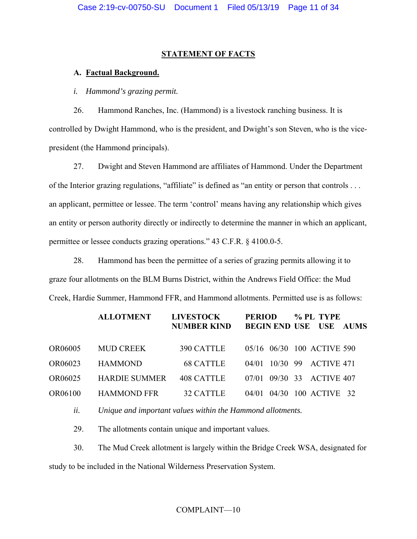## **STATEMENT OF FACTS**

# **A. Factual Background.**

*i. Hammond's grazing permit.* 

26. Hammond Ranches, Inc. (Hammond) is a livestock ranching business. It is controlled by Dwight Hammond, who is the president, and Dwight's son Steven, who is the vicepresident (the Hammond principals).

27. Dwight and Steven Hammond are affiliates of Hammond. Under the Department of the Interior grazing regulations, "affiliate" is defined as "an entity or person that controls ... an applicant, permittee or lessee. The term 'control' means having any relationship which gives an entity or person authority directly or indirectly to determine the manner in which an applicant, permittee or lessee conducts grazing operations." 43 C.F.R. § 4100.0-5.

28. Hammond has been the permittee of a series of grazing permits allowing it to graze four allotments on the BLM Burns District, within the Andrews Field Office: the Mud Creek, Hardie Summer, Hammond FFR, and Hammond allotments. Permitted use is as follows:

|         | <b>ALLOTMENT</b>     | <b>LIVESTOCK</b><br><b>NUMBER KIND</b> | <b>PERIOD</b><br><b>BEGIN END USE USE</b> | % PL TYPE<br><b>AUMS</b>   |
|---------|----------------------|----------------------------------------|-------------------------------------------|----------------------------|
| OR06005 | <b>MUD CREEK</b>     | 390 CATTLE                             |                                           | 05/16 06/30 100 ACTIVE 590 |
| OR06023 | <b>HAMMOND</b>       | <b>68 CATTLE</b>                       |                                           | 04/01 10/30 99 ACTIVE 471  |
| OR06025 | <b>HARDIE SUMMER</b> | 408 CATTLE                             | 07/01                                     | 09/30 33 ACTIVE 407        |
| OR06100 | <b>HAMMOND FFR</b>   | <b>32 CATTLE</b>                       |                                           | 04/01 04/30 100 ACTIVE 32  |

*ii. Unique and important values within the Hammond allotments.* 

29. The allotments contain unique and important values.

30. The Mud Creek allotment is largely within the Bridge Creek WSA, designated for study to be included in the National Wilderness Preservation System.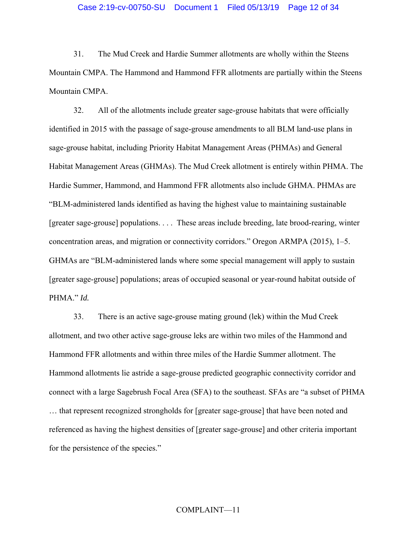31. The Mud Creek and Hardie Summer allotments are wholly within the Steens Mountain CMPA. The Hammond and Hammond FFR allotments are partially within the Steens Mountain CMPA.

32. All of the allotments include greater sage-grouse habitats that were officially identified in 2015 with the passage of sage-grouse amendments to all BLM land-use plans in sage-grouse habitat, including Priority Habitat Management Areas (PHMAs) and General Habitat Management Areas (GHMAs). The Mud Creek allotment is entirely within PHMA. The Hardie Summer, Hammond, and Hammond FFR allotments also include GHMA. PHMAs are "BLM-administered lands identified as having the highest value to maintaining sustainable [greater sage-grouse] populations. . . . These areas include breeding, late brood-rearing, winter concentration areas, and migration or connectivity corridors." Oregon ARMPA (2015), 1–5. GHMAs are "BLM-administered lands where some special management will apply to sustain [greater sage-grouse] populations; areas of occupied seasonal or year-round habitat outside of PHMA." *Id.*

33. There is an active sage-grouse mating ground (lek) within the Mud Creek allotment, and two other active sage-grouse leks are within two miles of the Hammond and Hammond FFR allotments and within three miles of the Hardie Summer allotment. The Hammond allotments lie astride a sage-grouse predicted geographic connectivity corridor and connect with a large Sagebrush Focal Area (SFA) to the southeast. SFAs are "a subset of PHMA … that represent recognized strongholds for [greater sage-grouse] that have been noted and referenced as having the highest densities of [greater sage-grouse] and other criteria important for the persistence of the species."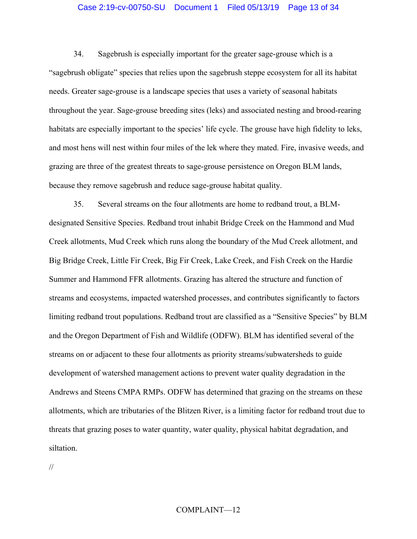### Case 2:19-cv-00750-SU Document 1 Filed 05/13/19 Page 13 of 34

34. Sagebrush is especially important for the greater sage-grouse which is a "sagebrush obligate" species that relies upon the sagebrush steppe ecosystem for all its habitat needs. Greater sage-grouse is a landscape species that uses a variety of seasonal habitats throughout the year. Sage-grouse breeding sites (leks) and associated nesting and brood-rearing habitats are especially important to the species' life cycle. The grouse have high fidelity to leks, and most hens will nest within four miles of the lek where they mated. Fire, invasive weeds, and grazing are three of the greatest threats to sage-grouse persistence on Oregon BLM lands, because they remove sagebrush and reduce sage-grouse habitat quality.

35. Several streams on the four allotments are home to redband trout, a BLMdesignated Sensitive Species. Redband trout inhabit Bridge Creek on the Hammond and Mud Creek allotments, Mud Creek which runs along the boundary of the Mud Creek allotment, and Big Bridge Creek, Little Fir Creek, Big Fir Creek, Lake Creek, and Fish Creek on the Hardie Summer and Hammond FFR allotments. Grazing has altered the structure and function of streams and ecosystems, impacted watershed processes, and contributes significantly to factors limiting redband trout populations. Redband trout are classified as a "Sensitive Species" by BLM and the Oregon Department of Fish and Wildlife (ODFW). BLM has identified several of the streams on or adjacent to these four allotments as priority streams/subwatersheds to guide development of watershed management actions to prevent water quality degradation in the Andrews and Steens CMPA RMPs. ODFW has determined that grazing on the streams on these allotments, which are tributaries of the Blitzen River, is a limiting factor for redband trout due to threats that grazing poses to water quantity, water quality, physical habitat degradation, and siltation.

//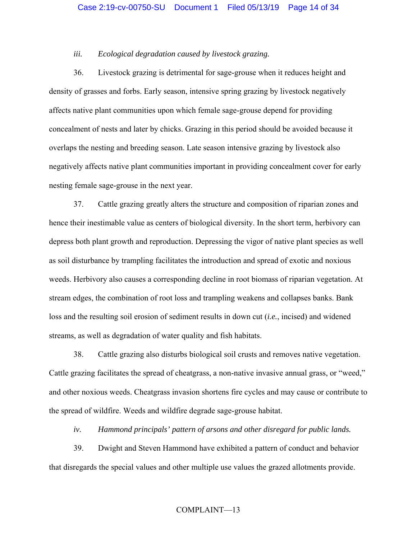## *iii. Ecological degradation caused by livestock grazing.*

36. Livestock grazing is detrimental for sage-grouse when it reduces height and density of grasses and forbs. Early season, intensive spring grazing by livestock negatively affects native plant communities upon which female sage-grouse depend for providing concealment of nests and later by chicks. Grazing in this period should be avoided because it overlaps the nesting and breeding season. Late season intensive grazing by livestock also negatively affects native plant communities important in providing concealment cover for early nesting female sage-grouse in the next year.

37. Cattle grazing greatly alters the structure and composition of riparian zones and hence their inestimable value as centers of biological diversity. In the short term, herbivory can depress both plant growth and reproduction. Depressing the vigor of native plant species as well as soil disturbance by trampling facilitates the introduction and spread of exotic and noxious weeds. Herbivory also causes a corresponding decline in root biomass of riparian vegetation. At stream edges, the combination of root loss and trampling weakens and collapses banks. Bank loss and the resulting soil erosion of sediment results in down cut (*i.e.*, incised) and widened streams, as well as degradation of water quality and fish habitats.

38. Cattle grazing also disturbs biological soil crusts and removes native vegetation. Cattle grazing facilitates the spread of cheatgrass, a non-native invasive annual grass, or "weed," and other noxious weeds. Cheatgrass invasion shortens fire cycles and may cause or contribute to the spread of wildfire. Weeds and wildfire degrade sage-grouse habitat.

*iv. Hammond principals' pattern of arsons and other disregard for public lands.* 

39. Dwight and Steven Hammond have exhibited a pattern of conduct and behavior that disregards the special values and other multiple use values the grazed allotments provide.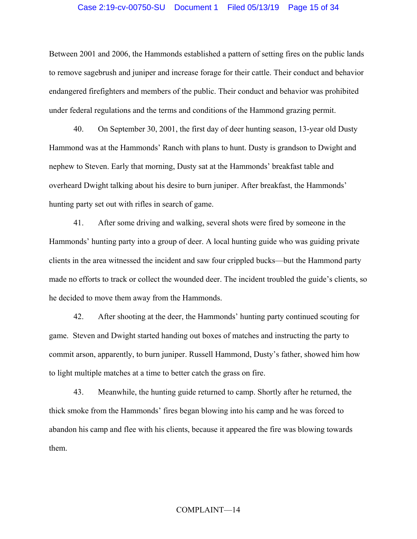## Case 2:19-cv-00750-SU Document 1 Filed 05/13/19 Page 15 of 34

Between 2001 and 2006, the Hammonds established a pattern of setting fires on the public lands to remove sagebrush and juniper and increase forage for their cattle. Their conduct and behavior endangered firefighters and members of the public. Their conduct and behavior was prohibited under federal regulations and the terms and conditions of the Hammond grazing permit.

40. On September 30, 2001, the first day of deer hunting season, 13-year old Dusty Hammond was at the Hammonds' Ranch with plans to hunt. Dusty is grandson to Dwight and nephew to Steven. Early that morning, Dusty sat at the Hammonds' breakfast table and overheard Dwight talking about his desire to burn juniper. After breakfast, the Hammonds' hunting party set out with rifles in search of game.

41. After some driving and walking, several shots were fired by someone in the Hammonds' hunting party into a group of deer. A local hunting guide who was guiding private clients in the area witnessed the incident and saw four crippled bucks—but the Hammond party made no efforts to track or collect the wounded deer. The incident troubled the guide's clients, so he decided to move them away from the Hammonds.

42. After shooting at the deer, the Hammonds' hunting party continued scouting for game. Steven and Dwight started handing out boxes of matches and instructing the party to commit arson, apparently, to burn juniper. Russell Hammond, Dusty's father, showed him how to light multiple matches at a time to better catch the grass on fire.

43. Meanwhile, the hunting guide returned to camp. Shortly after he returned, the thick smoke from the Hammonds' fires began blowing into his camp and he was forced to abandon his camp and flee with his clients, because it appeared the fire was blowing towards them.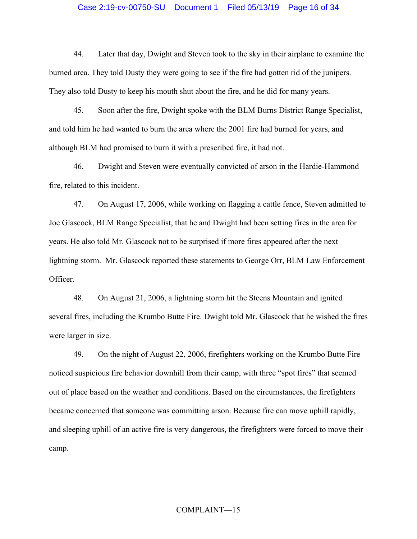### Case 2:19-cv-00750-SU Document 1 Filed 05/13/19 Page 16 of 34

44. Later that day, Dwight and Steven took to the sky in their airplane to examine the burned area. They told Dusty they were going to see if the fire had gotten rid of the junipers. They also told Dusty to keep his mouth shut about the fire, and he did for many years.

45. Soon after the fire, Dwight spoke with the BLM Burns District Range Specialist, and told him he had wanted to burn the area where the 2001 fire had burned for years, and although BLM had promised to burn it with a prescribed fire, it had not.

46. Dwight and Steven were eventually convicted of arson in the Hardie-Hammond fire, related to this incident.

47. On August 17, 2006, while working on flagging a cattle fence, Steven admitted to Joe Glascock, BLM Range Specialist, that he and Dwight had been setting fires in the area for years. He also told Mr. Glascock not to be surprised if more fires appeared after the next lightning storm. Mr. Glascock reported these statements to George Orr, BLM Law Enforcement Officer.

48. On August 21, 2006, a lightning storm hit the Steens Mountain and ignited several fires, including the Krumbo Butte Fire. Dwight told Mr. Glascock that he wished the fires were larger in size.

49. On the night of August 22, 2006, firefighters working on the Krumbo Butte Fire noticed suspicious fire behavior downhill from their camp, with three "spot fires" that seemed out of place based on the weather and conditions. Based on the circumstances, the firefighters became concerned that someone was committing arson. Because fire can move uphill rapidly, and sleeping uphill of an active fire is very dangerous, the firefighters were forced to move their camp.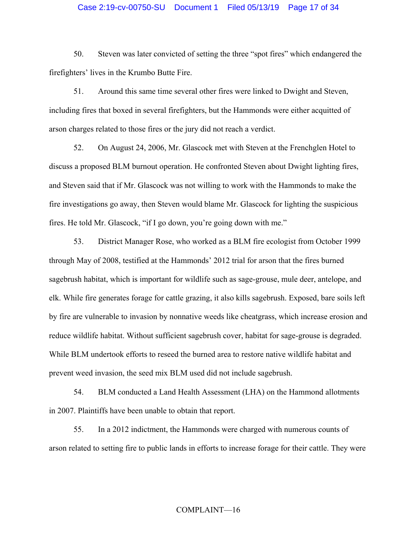## Case 2:19-cv-00750-SU Document 1 Filed 05/13/19 Page 17 of 34

50. Steven was later convicted of setting the three "spot fires" which endangered the firefighters' lives in the Krumbo Butte Fire.

51. Around this same time several other fires were linked to Dwight and Steven, including fires that boxed in several firefighters, but the Hammonds were either acquitted of arson charges related to those fires or the jury did not reach a verdict.

52. On August 24, 2006, Mr. Glascock met with Steven at the Frenchglen Hotel to discuss a proposed BLM burnout operation. He confronted Steven about Dwight lighting fires, and Steven said that if Mr. Glascock was not willing to work with the Hammonds to make the fire investigations go away, then Steven would blame Mr. Glascock for lighting the suspicious fires. He told Mr. Glascock, "if I go down, you're going down with me."

53. District Manager Rose, who worked as a BLM fire ecologist from October 1999 through May of 2008, testified at the Hammonds' 2012 trial for arson that the fires burned sagebrush habitat, which is important for wildlife such as sage-grouse, mule deer, antelope, and elk. While fire generates forage for cattle grazing, it also kills sagebrush. Exposed, bare soils left by fire are vulnerable to invasion by nonnative weeds like cheatgrass, which increase erosion and reduce wildlife habitat. Without sufficient sagebrush cover, habitat for sage-grouse is degraded. While BLM undertook efforts to reseed the burned area to restore native wildlife habitat and prevent weed invasion, the seed mix BLM used did not include sagebrush.

54. BLM conducted a Land Health Assessment (LHA) on the Hammond allotments in 2007. Plaintiffs have been unable to obtain that report.

55. In a 2012 indictment, the Hammonds were charged with numerous counts of arson related to setting fire to public lands in efforts to increase forage for their cattle. They were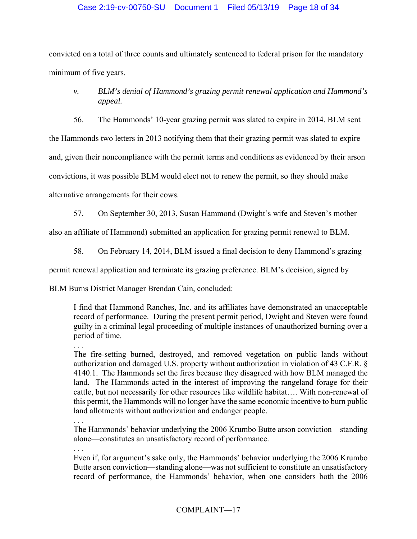# Case 2:19-cv-00750-SU Document 1 Filed 05/13/19 Page 18 of 34

convicted on a total of three counts and ultimately sentenced to federal prison for the mandatory minimum of five years.

# *v. BLM's denial of Hammond's grazing permit renewal application and Hammond's appeal.*

56. The Hammonds' 10-year grazing permit was slated to expire in 2014. BLM sent the Hammonds two letters in 2013 notifying them that their grazing permit was slated to expire and, given their noncompliance with the permit terms and conditions as evidenced by their arson convictions, it was possible BLM would elect not to renew the permit, so they should make alternative arrangements for their cows.

57. On September 30, 2013, Susan Hammond (Dwight's wife and Steven's mother—

also an affiliate of Hammond) submitted an application for grazing permit renewal to BLM.

58. On February 14, 2014, BLM issued a final decision to deny Hammond's grazing

permit renewal application and terminate its grazing preference. BLM's decision, signed by

BLM Burns District Manager Brendan Cain, concluded:

I find that Hammond Ranches, Inc. and its affiliates have demonstrated an unacceptable record of performance. During the present permit period, Dwight and Steven were found guilty in a criminal legal proceeding of multiple instances of unauthorized burning over a period of time.

 . . . The fire-setting burned, destroyed, and removed vegetation on public lands without authorization and damaged U.S. property without authorization in violation of 43 C.F.R. § 4140.1. The Hammonds set the fires because they disagreed with how BLM managed the land. The Hammonds acted in the interest of improving the rangeland forage for their cattle, but not necessarily for other resources like wildlife habitat…. With non-renewal of this permit, the Hammonds will no longer have the same economic incentive to burn public land allotments without authorization and endanger people.

. . .

The Hammonds' behavior underlying the 2006 Krumbo Butte arson conviction—standing alone—constitutes an unsatisfactory record of performance.

. . .

Even if, for argument's sake only, the Hammonds' behavior underlying the 2006 Krumbo Butte arson conviction—standing alone—was not sufficient to constitute an unsatisfactory record of performance, the Hammonds' behavior, when one considers both the 2006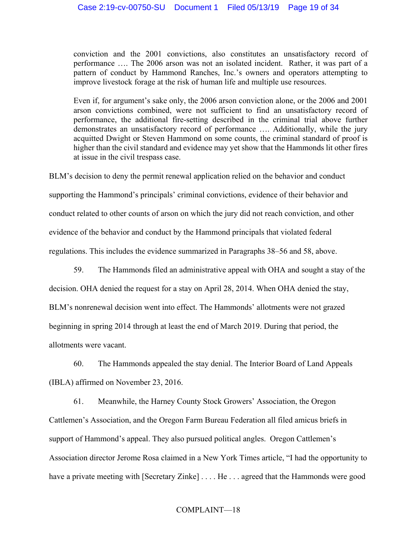conviction and the 2001 convictions, also constitutes an unsatisfactory record of performance …. The 2006 arson was not an isolated incident. Rather, it was part of a pattern of conduct by Hammond Ranches, Inc.'s owners and operators attempting to improve livestock forage at the risk of human life and multiple use resources.

Even if, for argument's sake only, the 2006 arson conviction alone, or the 2006 and 2001 arson convictions combined, were not sufficient to find an unsatisfactory record of performance, the additional fire-setting described in the criminal trial above further demonstrates an unsatisfactory record of performance …. Additionally, while the jury acquitted Dwight or Steven Hammond on some counts, the criminal standard of proof is higher than the civil standard and evidence may yet show that the Hammonds lit other fires at issue in the civil trespass case.

BLM's decision to deny the permit renewal application relied on the behavior and conduct supporting the Hammond's principals' criminal convictions, evidence of their behavior and conduct related to other counts of arson on which the jury did not reach conviction, and other evidence of the behavior and conduct by the Hammond principals that violated federal regulations. This includes the evidence summarized in Paragraphs 38–56 and 58, above.

59. The Hammonds filed an administrative appeal with OHA and sought a stay of the decision. OHA denied the request for a stay on April 28, 2014. When OHA denied the stay, BLM's nonrenewal decision went into effect. The Hammonds' allotments were not grazed beginning in spring 2014 through at least the end of March 2019. During that period, the allotments were vacant.

60. The Hammonds appealed the stay denial. The Interior Board of Land Appeals (IBLA) affirmed on November 23, 2016.

61. Meanwhile, the Harney County Stock Growers' Association, the Oregon Cattlemen's Association, and the Oregon Farm Bureau Federation all filed amicus briefs in support of Hammond's appeal. They also pursued political angles. Oregon Cattlemen's Association director Jerome Rosa claimed in a New York Times article, "I had the opportunity to have a private meeting with [Secretary Zinke] . . . . He . . . agreed that the Hammonds were good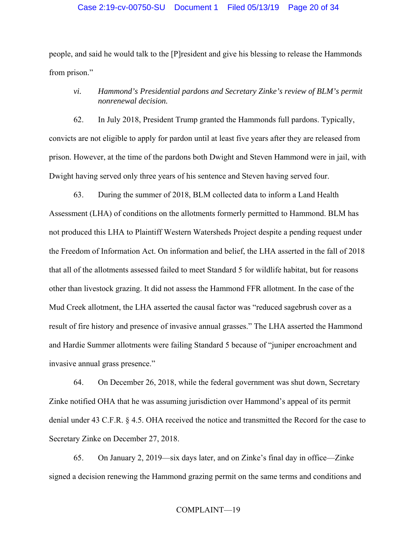people, and said he would talk to the [P]resident and give his blessing to release the Hammonds from prison."

# *vi. Hammond's Presidential pardons and Secretary Zinke's review of BLM's permit nonrenewal decision.*

62. In July 2018, President Trump granted the Hammonds full pardons. Typically, convicts are not eligible to apply for pardon until at least five years after they are released from prison. However, at the time of the pardons both Dwight and Steven Hammond were in jail, with Dwight having served only three years of his sentence and Steven having served four.

63. During the summer of 2018, BLM collected data to inform a Land Health Assessment (LHA) of conditions on the allotments formerly permitted to Hammond. BLM has not produced this LHA to Plaintiff Western Watersheds Project despite a pending request under the Freedom of Information Act. On information and belief, the LHA asserted in the fall of 2018 that all of the allotments assessed failed to meet Standard 5 for wildlife habitat, but for reasons other than livestock grazing. It did not assess the Hammond FFR allotment. In the case of the Mud Creek allotment, the LHA asserted the causal factor was "reduced sagebrush cover as a result of fire history and presence of invasive annual grasses." The LHA asserted the Hammond and Hardie Summer allotments were failing Standard 5 because of "juniper encroachment and invasive annual grass presence."

64. On December 26, 2018, while the federal government was shut down, Secretary Zinke notified OHA that he was assuming jurisdiction over Hammond's appeal of its permit denial under 43 C.F.R. § 4.5. OHA received the notice and transmitted the Record for the case to Secretary Zinke on December 27, 2018.

65. On January 2, 2019—six days later, and on Zinke's final day in office—Zinke signed a decision renewing the Hammond grazing permit on the same terms and conditions and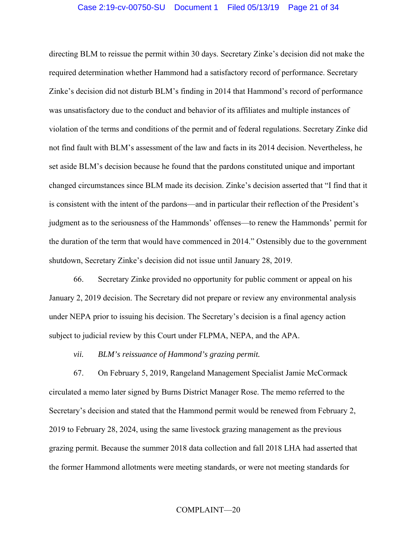directing BLM to reissue the permit within 30 days. Secretary Zinke's decision did not make the required determination whether Hammond had a satisfactory record of performance. Secretary Zinke's decision did not disturb BLM's finding in 2014 that Hammond's record of performance was unsatisfactory due to the conduct and behavior of its affiliates and multiple instances of violation of the terms and conditions of the permit and of federal regulations. Secretary Zinke did not find fault with BLM's assessment of the law and facts in its 2014 decision. Nevertheless, he set aside BLM's decision because he found that the pardons constituted unique and important changed circumstances since BLM made its decision. Zinke's decision asserted that "I find that it is consistent with the intent of the pardons—and in particular their reflection of the President's judgment as to the seriousness of the Hammonds' offenses—to renew the Hammonds' permit for the duration of the term that would have commenced in 2014." Ostensibly due to the government shutdown, Secretary Zinke's decision did not issue until January 28, 2019.

66. Secretary Zinke provided no opportunity for public comment or appeal on his January 2, 2019 decision. The Secretary did not prepare or review any environmental analysis under NEPA prior to issuing his decision. The Secretary's decision is a final agency action subject to judicial review by this Court under FLPMA, NEPA, and the APA.

*vii. BLM's reissuance of Hammond's grazing permit.* 

67. On February 5, 2019, Rangeland Management Specialist Jamie McCormack circulated a memo later signed by Burns District Manager Rose. The memo referred to the Secretary's decision and stated that the Hammond permit would be renewed from February 2, 2019 to February 28, 2024, using the same livestock grazing management as the previous grazing permit. Because the summer 2018 data collection and fall 2018 LHA had asserted that the former Hammond allotments were meeting standards, or were not meeting standards for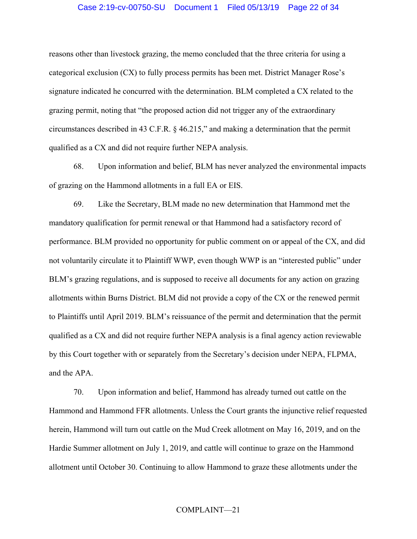## Case 2:19-cv-00750-SU Document 1 Filed 05/13/19 Page 22 of 34

reasons other than livestock grazing, the memo concluded that the three criteria for using a categorical exclusion (CX) to fully process permits has been met. District Manager Rose's signature indicated he concurred with the determination. BLM completed a CX related to the grazing permit, noting that "the proposed action did not trigger any of the extraordinary circumstances described in 43 C.F.R. § 46.215," and making a determination that the permit qualified as a CX and did not require further NEPA analysis.

68. Upon information and belief, BLM has never analyzed the environmental impacts of grazing on the Hammond allotments in a full EA or EIS.

69. Like the Secretary, BLM made no new determination that Hammond met the mandatory qualification for permit renewal or that Hammond had a satisfactory record of performance. BLM provided no opportunity for public comment on or appeal of the CX, and did not voluntarily circulate it to Plaintiff WWP, even though WWP is an "interested public" under BLM's grazing regulations, and is supposed to receive all documents for any action on grazing allotments within Burns District. BLM did not provide a copy of the CX or the renewed permit to Plaintiffs until April 2019. BLM's reissuance of the permit and determination that the permit qualified as a CX and did not require further NEPA analysis is a final agency action reviewable by this Court together with or separately from the Secretary's decision under NEPA, FLPMA, and the APA.

70. Upon information and belief, Hammond has already turned out cattle on the Hammond and Hammond FFR allotments. Unless the Court grants the injunctive relief requested herein, Hammond will turn out cattle on the Mud Creek allotment on May 16, 2019, and on the Hardie Summer allotment on July 1, 2019, and cattle will continue to graze on the Hammond allotment until October 30. Continuing to allow Hammond to graze these allotments under the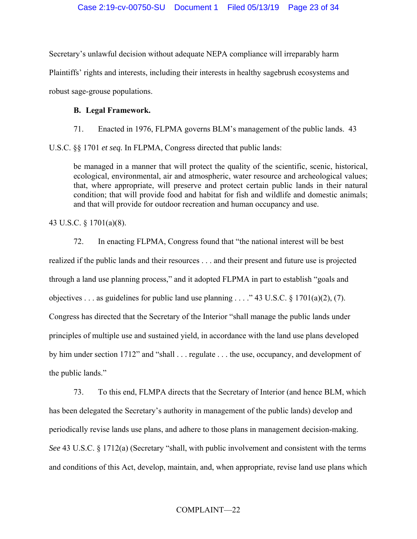Secretary's unlawful decision without adequate NEPA compliance will irreparably harm Plaintiffs' rights and interests, including their interests in healthy sagebrush ecosystems and robust sage-grouse populations.

# **B. Legal Framework.**

71. Enacted in 1976, FLPMA governs BLM's management of the public lands. 43

U.S.C. §§ 1701 *et seq.* In FLPMA, Congress directed that public lands:

be managed in a manner that will protect the quality of the scientific, scenic, historical, ecological, environmental, air and atmospheric, water resource and archeological values; that, where appropriate, will preserve and protect certain public lands in their natural condition; that will provide food and habitat for fish and wildlife and domestic animals; and that will provide for outdoor recreation and human occupancy and use.

43 U.S.C. § 1701(a)(8).

72. In enacting FLPMA, Congress found that "the national interest will be best realized if the public lands and their resources . . . and their present and future use is projected through a land use planning process," and it adopted FLPMA in part to establish "goals and objectives . . . as guidelines for public land use planning . . . ." 43 U.S.C.  $\S 1701(a)(2)$ , (7). Congress has directed that the Secretary of the Interior "shall manage the public lands under principles of multiple use and sustained yield, in accordance with the land use plans developed by him under section 1712" and "shall . . . regulate . . . the use, occupancy, and development of the public lands."

73. To this end, FLMPA directs that the Secretary of Interior (and hence BLM, which has been delegated the Secretary's authority in management of the public lands) develop and periodically revise lands use plans, and adhere to those plans in management decision-making. *See* 43 U.S.C. § 1712(a) (Secretary "shall, with public involvement and consistent with the terms and conditions of this Act, develop, maintain, and, when appropriate, revise land use plans which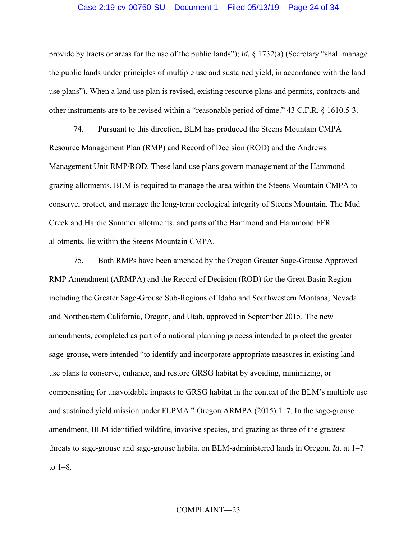### Case 2:19-cv-00750-SU Document 1 Filed 05/13/19 Page 24 of 34

provide by tracts or areas for the use of the public lands"); *id.* § 1732(a) (Secretary "shall manage the public lands under principles of multiple use and sustained yield, in accordance with the land use plans"). When a land use plan is revised, existing resource plans and permits, contracts and other instruments are to be revised within a "reasonable period of time." 43 C.F.R. § 1610.5-3.

74. Pursuant to this direction, BLM has produced the Steens Mountain CMPA Resource Management Plan (RMP) and Record of Decision (ROD) and the Andrews Management Unit RMP/ROD. These land use plans govern management of the Hammond grazing allotments. BLM is required to manage the area within the Steens Mountain CMPA to conserve, protect, and manage the long-term ecological integrity of Steens Mountain. The Mud Creek and Hardie Summer allotments, and parts of the Hammond and Hammond FFR allotments, lie within the Steens Mountain CMPA.

75. Both RMPs have been amended by the Oregon Greater Sage-Grouse Approved RMP Amendment (ARMPA) and the Record of Decision (ROD) for the Great Basin Region including the Greater Sage-Grouse Sub-Regions of Idaho and Southwestern Montana, Nevada and Northeastern California, Oregon, and Utah, approved in September 2015. The new amendments, completed as part of a national planning process intended to protect the greater sage-grouse, were intended "to identify and incorporate appropriate measures in existing land use plans to conserve, enhance, and restore GRSG habitat by avoiding, minimizing, or compensating for unavoidable impacts to GRSG habitat in the context of the BLM's multiple use and sustained yield mission under FLPMA." Oregon ARMPA (2015) 1–7. In the sage-grouse amendment, BLM identified wildfire, invasive species, and grazing as three of the greatest threats to sage-grouse and sage-grouse habitat on BLM-administered lands in Oregon. *Id*. at 1–7 to 1–8.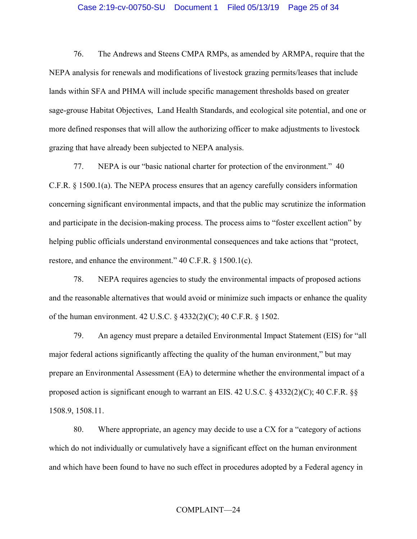### Case 2:19-cv-00750-SU Document 1 Filed 05/13/19 Page 25 of 34

76. The Andrews and Steens CMPA RMPs, as amended by ARMPA, require that the NEPA analysis for renewals and modifications of livestock grazing permits/leases that include lands within SFA and PHMA will include specific management thresholds based on greater sage-grouse Habitat Objectives, Land Health Standards, and ecological site potential, and one or more defined responses that will allow the authorizing officer to make adjustments to livestock grazing that have already been subjected to NEPA analysis.

77. NEPA is our "basic national charter for protection of the environment." 40 C.F.R. § 1500.1(a). The NEPA process ensures that an agency carefully considers information concerning significant environmental impacts, and that the public may scrutinize the information and participate in the decision-making process. The process aims to "foster excellent action" by helping public officials understand environmental consequences and take actions that "protect, restore, and enhance the environment." 40 C.F.R. § 1500.1(c).

78. NEPA requires agencies to study the environmental impacts of proposed actions and the reasonable alternatives that would avoid or minimize such impacts or enhance the quality of the human environment. 42 U.S.C. § 4332(2)(C); 40 C.F.R. § 1502.

79. An agency must prepare a detailed Environmental Impact Statement (EIS) for "all major federal actions significantly affecting the quality of the human environment," but may prepare an Environmental Assessment (EA) to determine whether the environmental impact of a proposed action is significant enough to warrant an EIS. 42 U.S.C. § 4332(2)(C); 40 C.F.R. §§ 1508.9, 1508.11.

80. Where appropriate, an agency may decide to use a CX for a "category of actions which do not individually or cumulatively have a significant effect on the human environment and which have been found to have no such effect in procedures adopted by a Federal agency in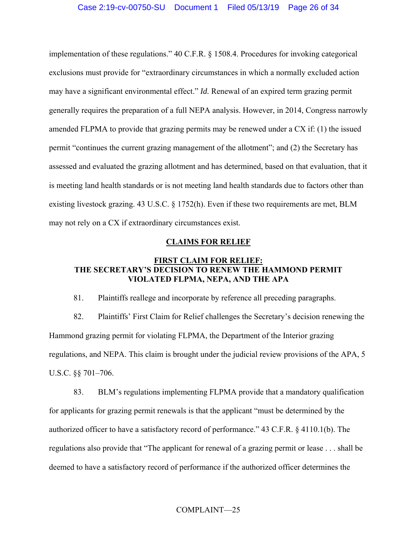implementation of these regulations." 40 C.F.R. § 1508.4. Procedures for invoking categorical exclusions must provide for "extraordinary circumstances in which a normally excluded action may have a significant environmental effect." *Id.* Renewal of an expired term grazing permit generally requires the preparation of a full NEPA analysis. However, in 2014, Congress narrowly amended FLPMA to provide that grazing permits may be renewed under a CX if: (1) the issued permit "continues the current grazing management of the allotment"; and (2) the Secretary has assessed and evaluated the grazing allotment and has determined, based on that evaluation, that it is meeting land health standards or is not meeting land health standards due to factors other than existing livestock grazing. 43 U.S.C. § 1752(h). Even if these two requirements are met, BLM may not rely on a CX if extraordinary circumstances exist.

## **CLAIMS FOR RELIEF**

# **FIRST CLAIM FOR RELIEF: THE SECRETARY'S DECISION TO RENEW THE HAMMOND PERMIT VIOLATED FLPMA, NEPA, AND THE APA**

81. Plaintiffs reallege and incorporate by reference all preceding paragraphs.

82. Plaintiffs' First Claim for Relief challenges the Secretary's decision renewing the Hammond grazing permit for violating FLPMA, the Department of the Interior grazing regulations, and NEPA. This claim is brought under the judicial review provisions of the APA, 5 U.S.C. §§ 701–706.

83. BLM's regulations implementing FLPMA provide that a mandatory qualification for applicants for grazing permit renewals is that the applicant "must be determined by the authorized officer to have a satisfactory record of performance." 43 C.F.R. § 4110.1(b). The regulations also provide that "The applicant for renewal of a grazing permit or lease . . . shall be deemed to have a satisfactory record of performance if the authorized officer determines the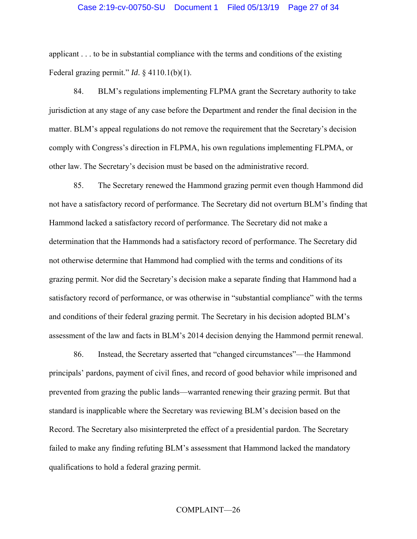## Case 2:19-cv-00750-SU Document 1 Filed 05/13/19 Page 27 of 34

applicant . . . to be in substantial compliance with the terms and conditions of the existing Federal grazing permit." *Id*. § 4110.1(b)(1).

84. BLM's regulations implementing FLPMA grant the Secretary authority to take jurisdiction at any stage of any case before the Department and render the final decision in the matter. BLM's appeal regulations do not remove the requirement that the Secretary's decision comply with Congress's direction in FLPMA, his own regulations implementing FLPMA, or other law. The Secretary's decision must be based on the administrative record.

85. The Secretary renewed the Hammond grazing permit even though Hammond did not have a satisfactory record of performance. The Secretary did not overturn BLM's finding that Hammond lacked a satisfactory record of performance. The Secretary did not make a determination that the Hammonds had a satisfactory record of performance. The Secretary did not otherwise determine that Hammond had complied with the terms and conditions of its grazing permit. Nor did the Secretary's decision make a separate finding that Hammond had a satisfactory record of performance, or was otherwise in "substantial compliance" with the terms and conditions of their federal grazing permit. The Secretary in his decision adopted BLM's assessment of the law and facts in BLM's 2014 decision denying the Hammond permit renewal.

86. Instead, the Secretary asserted that "changed circumstances"—the Hammond principals' pardons, payment of civil fines, and record of good behavior while imprisoned and prevented from grazing the public lands—warranted renewing their grazing permit. But that standard is inapplicable where the Secretary was reviewing BLM's decision based on the Record. The Secretary also misinterpreted the effect of a presidential pardon. The Secretary failed to make any finding refuting BLM's assessment that Hammond lacked the mandatory qualifications to hold a federal grazing permit.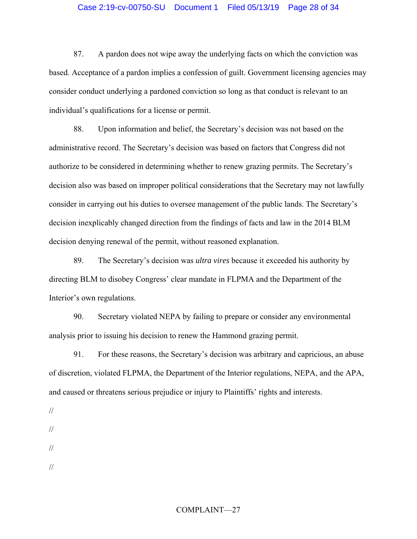## Case 2:19-cv-00750-SU Document 1 Filed 05/13/19 Page 28 of 34

87. A pardon does not wipe away the underlying facts on which the conviction was based. Acceptance of a pardon implies a confession of guilt. Government licensing agencies may consider conduct underlying a pardoned conviction so long as that conduct is relevant to an individual's qualifications for a license or permit.

88. Upon information and belief, the Secretary's decision was not based on the administrative record. The Secretary's decision was based on factors that Congress did not authorize to be considered in determining whether to renew grazing permits. The Secretary's decision also was based on improper political considerations that the Secretary may not lawfully consider in carrying out his duties to oversee management of the public lands. The Secretary's decision inexplicably changed direction from the findings of facts and law in the 2014 BLM decision denying renewal of the permit, without reasoned explanation.

89. The Secretary's decision was *ultra vires* because it exceeded his authority by directing BLM to disobey Congress' clear mandate in FLPMA and the Department of the Interior's own regulations.

90. Secretary violated NEPA by failing to prepare or consider any environmental analysis prior to issuing his decision to renew the Hammond grazing permit.

91. For these reasons, the Secretary's decision was arbitrary and capricious, an abuse of discretion, violated FLPMA, the Department of the Interior regulations, NEPA, and the APA, and caused or threatens serious prejudice or injury to Plaintiffs' rights and interests.

- //
- //

//

<sup>//</sup>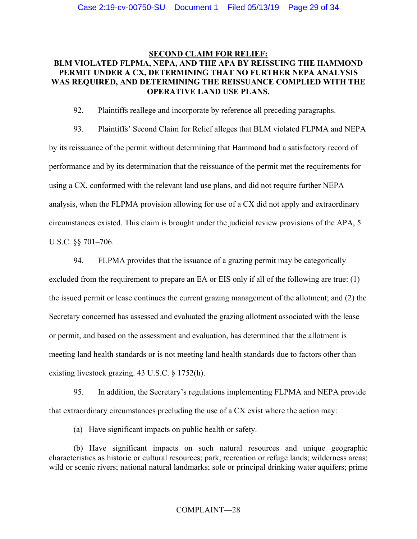# **SECOND CLAIM FOR RELIEF: BLM VIOLATED FLPMA, NEPA, AND THE APA BY REISSUING THE HAMMOND PERMIT UNDER A CX, DETERMINING THAT NO FURTHER NEPA ANALYSIS WAS REQUIRED, AND DETERMINING THE REISSUANCE COMPLIED WITH THE OPERATIVE LAND USE PLANS.**

92. Plaintiffs reallege and incorporate by reference all preceding paragraphs.

93. Plaintiffs' Second Claim for Relief alleges that BLM violated FLPMA and NEPA by its reissuance of the permit without determining that Hammond had a satisfactory record of performance and by its determination that the reissuance of the permit met the requirements for using a CX, conformed with the relevant land use plans, and did not require further NEPA analysis, when the FLPMA provision allowing for use of a CX did not apply and extraordinary circumstances existed. This claim is brought under the judicial review provisions of the APA, 5 U.S.C. §§ 701–706.

94. FLPMA provides that the issuance of a grazing permit may be categorically excluded from the requirement to prepare an EA or EIS only if all of the following are true: (1) the issued permit or lease continues the current grazing management of the allotment; and (2) the Secretary concerned has assessed and evaluated the grazing allotment associated with the lease or permit, and based on the assessment and evaluation, has determined that the allotment is meeting land health standards or is not meeting land health standards due to factors other than existing livestock grazing. 43 U.S.C. § 1752(h).

95. In addition, the Secretary's regulations implementing FLPMA and NEPA provide that extraordinary circumstances precluding the use of a CX exist where the action may:

(a) Have significant impacts on public health or safety.

(b) Have significant impacts on such natural resources and unique geographic characteristics as historic or cultural resources; park, recreation or refuge lands; wilderness areas; wild or scenic rivers; national natural landmarks; sole or principal drinking water aquifers; prime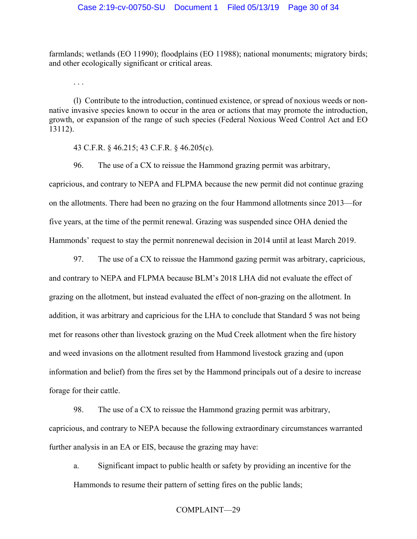farmlands; wetlands (EO 11990); floodplains (EO 11988); national monuments; migratory birds; and other ecologically significant or critical areas.

(l) Contribute to the introduction, continued existence, or spread of noxious weeds or nonnative invasive species known to occur in the area or actions that may promote the introduction, growth, or expansion of the range of such species (Federal Noxious Weed Control Act and EO 13112).

43 C.F.R. § 46.215; 43 C.F.R. § 46.205(c).

. . .

96. The use of a CX to reissue the Hammond grazing permit was arbitrary, capricious, and contrary to NEPA and FLPMA because the new permit did not continue grazing on the allotments. There had been no grazing on the four Hammond allotments since 2013—for five years, at the time of the permit renewal. Grazing was suspended since OHA denied the Hammonds' request to stay the permit nonrenewal decision in 2014 until at least March 2019.

97. The use of a CX to reissue the Hammond gazing permit was arbitrary, capricious, and contrary to NEPA and FLPMA because BLM's 2018 LHA did not evaluate the effect of grazing on the allotment, but instead evaluated the effect of non-grazing on the allotment. In addition, it was arbitrary and capricious for the LHA to conclude that Standard 5 was not being met for reasons other than livestock grazing on the Mud Creek allotment when the fire history and weed invasions on the allotment resulted from Hammond livestock grazing and (upon information and belief) from the fires set by the Hammond principals out of a desire to increase forage for their cattle.

98. The use of a CX to reissue the Hammond grazing permit was arbitrary, capricious, and contrary to NEPA because the following extraordinary circumstances warranted further analysis in an EA or EIS, because the grazing may have:

a. Significant impact to public health or safety by providing an incentive for the Hammonds to resume their pattern of setting fires on the public lands;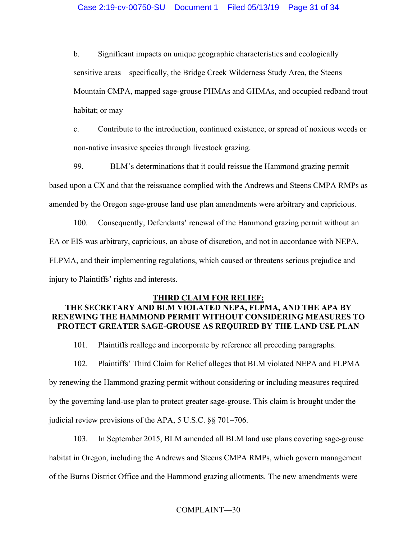b. Significant impacts on unique geographic characteristics and ecologically sensitive areas—specifically, the Bridge Creek Wilderness Study Area, the Steens Mountain CMPA, mapped sage-grouse PHMAs and GHMAs, and occupied redband trout habitat; or may

c. Contribute to the introduction, continued existence, or spread of noxious weeds or non-native invasive species through livestock grazing.

99. BLM's determinations that it could reissue the Hammond grazing permit based upon a CX and that the reissuance complied with the Andrews and Steens CMPA RMPs as amended by the Oregon sage-grouse land use plan amendments were arbitrary and capricious.

100. Consequently, Defendants' renewal of the Hammond grazing permit without an EA or EIS was arbitrary, capricious, an abuse of discretion, and not in accordance with NEPA, FLPMA, and their implementing regulations, which caused or threatens serious prejudice and injury to Plaintiffs' rights and interests.

## **THIRD CLAIM FOR RELIEF:**

# **THE SECRETARY AND BLM VIOLATED NEPA, FLPMA, AND THE APA BY RENEWING THE HAMMOND PERMIT WITHOUT CONSIDERING MEASURES TO PROTECT GREATER SAGE-GROUSE AS REQUIRED BY THE LAND USE PLAN**

101. Plaintiffs reallege and incorporate by reference all preceding paragraphs.

102. Plaintiffs' Third Claim for Relief alleges that BLM violated NEPA and FLPMA by renewing the Hammond grazing permit without considering or including measures required by the governing land-use plan to protect greater sage-grouse. This claim is brought under the judicial review provisions of the APA, 5 U.S.C. §§ 701–706.

103. In September 2015, BLM amended all BLM land use plans covering sage-grouse habitat in Oregon, including the Andrews and Steens CMPA RMPs, which govern management of the Burns District Office and the Hammond grazing allotments. The new amendments were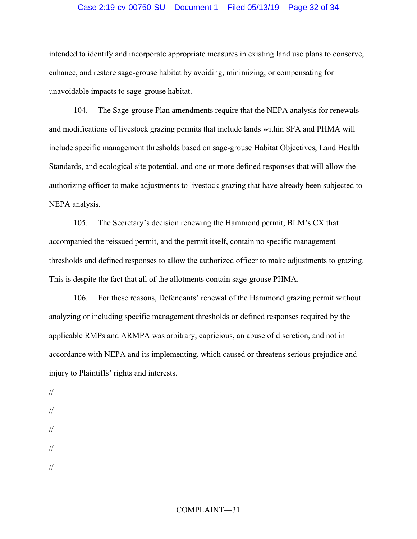# Case 2:19-cv-00750-SU Document 1 Filed 05/13/19 Page 32 of 34

intended to identify and incorporate appropriate measures in existing land use plans to conserve, enhance, and restore sage-grouse habitat by avoiding, minimizing, or compensating for unavoidable impacts to sage-grouse habitat.

104. The Sage-grouse Plan amendments require that the NEPA analysis for renewals and modifications of livestock grazing permits that include lands within SFA and PHMA will include specific management thresholds based on sage-grouse Habitat Objectives, Land Health Standards, and ecological site potential, and one or more defined responses that will allow the authorizing officer to make adjustments to livestock grazing that have already been subjected to NEPA analysis.

105. The Secretary's decision renewing the Hammond permit, BLM's CX that accompanied the reissued permit, and the permit itself, contain no specific management thresholds and defined responses to allow the authorized officer to make adjustments to grazing. This is despite the fact that all of the allotments contain sage-grouse PHMA.

106. For these reasons, Defendants' renewal of the Hammond grazing permit without analyzing or including specific management thresholds or defined responses required by the applicable RMPs and ARMPA was arbitrary, capricious, an abuse of discretion, and not in accordance with NEPA and its implementing, which caused or threatens serious prejudice and injury to Plaintiffs' rights and interests.

- //
- //
- //
- //

//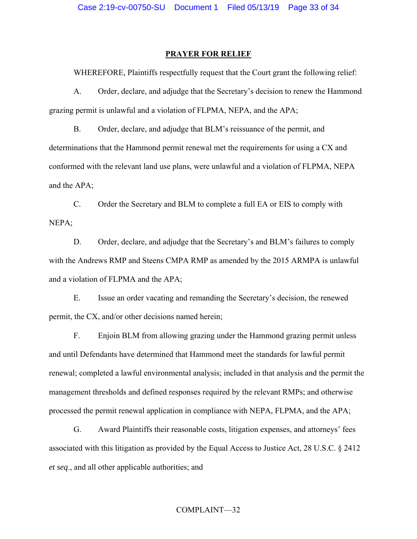#### **PRAYER FOR RELIEF**

WHEREFORE, Plaintiffs respectfully request that the Court grant the following relief:

A. Order, declare, and adjudge that the Secretary's decision to renew the Hammond grazing permit is unlawful and a violation of FLPMA, NEPA, and the APA;

B. Order, declare, and adjudge that BLM's reissuance of the permit, and determinations that the Hammond permit renewal met the requirements for using a CX and conformed with the relevant land use plans, were unlawful and a violation of FLPMA, NEPA and the APA;

C. Order the Secretary and BLM to complete a full EA or EIS to comply with NEPA;

D. Order, declare, and adjudge that the Secretary's and BLM's failures to comply with the Andrews RMP and Steens CMPA RMP as amended by the 2015 ARMPA is unlawful and a violation of FLPMA and the APA;

E. Issue an order vacating and remanding the Secretary's decision, the renewed permit, the CX, and/or other decisions named herein;

F. Enjoin BLM from allowing grazing under the Hammond grazing permit unless and until Defendants have determined that Hammond meet the standards for lawful permit renewal; completed a lawful environmental analysis; included in that analysis and the permit the management thresholds and defined responses required by the relevant RMPs; and otherwise processed the permit renewal application in compliance with NEPA, FLPMA, and the APA;

G. Award Plaintiffs their reasonable costs, litigation expenses, and attorneys' fees associated with this litigation as provided by the Equal Access to Justice Act, 28 U.S.C. § 2412 *et seq*., and all other applicable authorities; and